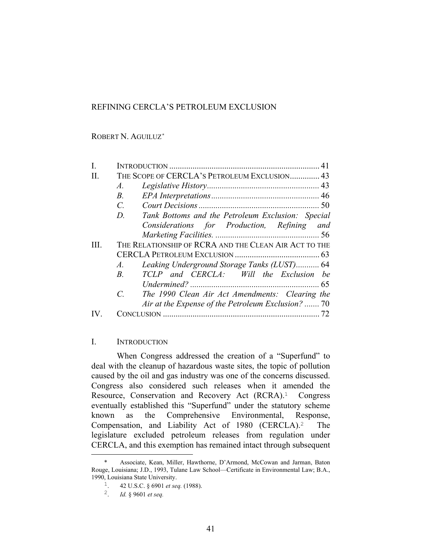# REFINING CERCLA'S PETROLEUM EXCLUSION

ROBERT N. AGUILUZ\*

|   | THE SCOPE OF CERCLA'S PETROLEUM EXCLUSION 43                     |     |
|---|------------------------------------------------------------------|-----|
|   | $\mathcal{A}$ .                                                  |     |
|   | B <sub>1</sub>                                                   |     |
|   | $\mathcal{C}$                                                    |     |
|   | D.<br>Tank Bottoms and the Petroleum Exclusion: Special          |     |
|   | Considerations for Production, Refining                          | and |
|   |                                                                  |     |
| Ш | THE RELATIONSHIP OF RCRA AND THE CLEAN AIR ACT TO THE            |     |
|   |                                                                  |     |
|   | Leaking Underground Storage Tanks (LUST) 64<br>$A$ .             |     |
|   | TCLP and CERCLA: Will the Exclusion be<br>$B_{\cdot}$            |     |
|   |                                                                  |     |
|   | $\mathcal{C}$<br>The 1990 Clean Air Act Amendments: Clearing the |     |
|   | Air at the Expense of the Petroleum Exclusion?  70               |     |
|   |                                                                  |     |

# I. INTRODUCTION

 When Congress addressed the creation of a "Superfund" to deal with the cleanup of hazardous waste sites, the topic of pollution caused by the oil and gas industry was one of the concerns discussed. Congress also considered such releases when it amended the Resource, Conservation and Recovery Act (RCRA).<sup>1</sup> Congress eventually established this "Superfund" under the statutory scheme known as the Comprehensive Environmental, Response, Compensation, and Liability Act of 1980 (CERCLA).2 The legislature excluded petroleum releases from regulation under CERCLA, and this exemption has remained intact through subsequent

 $\overline{\phantom{0}}$ 

Associate, Kean, Miller, Hawthorne, D'Armond, McCowan and Jarman, Baton Rouge, Louisiana; J.D., 1993, Tulane Law School—Certificate in Environmental Law; B.A., 1990, Louisiana State University.<br><sup>1</sup> 42 U.S.C. § 6901 *et sel* 

<sup>1</sup>. 42 U.S.C. § 6901 *et seq.* (1988).

<sup>2</sup>. *Id.* § 9601 *et seq.*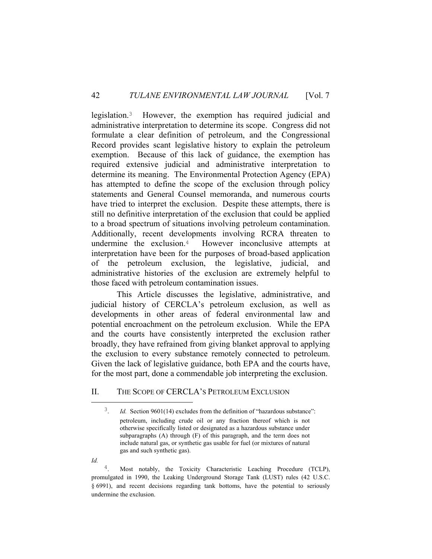legislation.3 However, the exemption has required judicial and administrative interpretation to determine its scope. Congress did not formulate a clear definition of petroleum, and the Congressional Record provides scant legislative history to explain the petroleum exemption. Because of this lack of guidance, the exemption has required extensive judicial and administrative interpretation to determine its meaning. The Environmental Protection Agency (EPA) has attempted to define the scope of the exclusion through policy statements and General Counsel memoranda, and numerous courts have tried to interpret the exclusion. Despite these attempts, there is still no definitive interpretation of the exclusion that could be applied to a broad spectrum of situations involving petroleum contamination. Additionally, recent developments involving RCRA threaten to undermine the exclusion.4 However inconclusive attempts at interpretation have been for the purposes of broad-based application of the petroleum exclusion, the legislative, judicial, and administrative histories of the exclusion are extremely helpful to those faced with petroleum contamination issues.

 This Article discusses the legislative, administrative, and judicial history of CERCLA's petroleum exclusion, as well as developments in other areas of federal environmental law and potential encroachment on the petroleum exclusion. While the EPA and the courts have consistently interpreted the exclusion rather broadly, they have refrained from giving blanket approval to applying the exclusion to every substance remotely connected to petroleum. Given the lack of legislative guidance, both EPA and the courts have, for the most part, done a commendable job interpreting the exclusion.

## II. THE SCOPE OF CERCLA'S PETROLEUM EXCLUSION

*Id.*

<sup>&</sup>lt;sup>3</sup>. *Id.* Section 9601(14) excludes from the definition of "hazardous substance": petroleum, including crude oil or any fraction thereof which is not otherwise specifically listed or designated as a hazardous substance under subparagraphs (A) through (F) of this paragraph, and the term does not include natural gas, or synthetic gas usable for fuel (or mixtures of natural gas and such synthetic gas).

Most notably, the Toxicity Characteristic Leaching Procedure (TCLP), promulgated in 1990, the Leaking Underground Storage Tank (LUST) rules (42 U.S.C. § 6991), and recent decisions regarding tank bottoms, have the potential to seriously undermine the exclusion.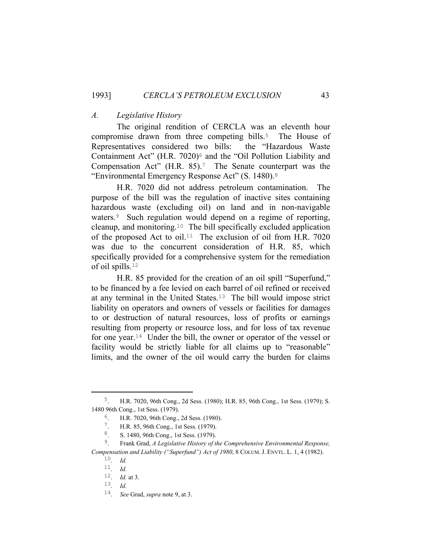#### *A. Legislative History*

 The original rendition of CERCLA was an eleventh hour compromise drawn from three competing bills.<sup>5</sup> The House of Representatives considered two bills: the "Hazardous Waste Containment Act" (H.R.  $7020$ )<sup> $\epsilon$ </sup> and the "Oil Pollution Liability and Compensation Act" (H.R. 85).<sup>7</sup> The Senate counterpart was the "Environmental Emergency Response Act" (S. 1480).<sup>8</sup>

 H.R. 7020 did not address petroleum contamination. The purpose of the bill was the regulation of inactive sites containing hazardous waste (excluding oil) on land and in non-navigable waters.9 Such regulation would depend on a regime of reporting, cleanup, and monitoring.10 The bill specifically excluded application of the proposed Act to oil.<sup>11</sup> The exclusion of oil from H.R. 7020 was due to the concurrent consideration of H.R. 85, which specifically provided for a comprehensive system for the remediation of oil spills.<sup>12</sup>

 H.R. 85 provided for the creation of an oil spill "Superfund," to be financed by a fee levied on each barrel of oil refined or received at any terminal in the United States.13 The bill would impose strict liability on operators and owners of vessels or facilities for damages to or destruction of natural resources, loss of profits or earnings resulting from property or resource loss, and for loss of tax revenue for one year.14 Under the bill, the owner or operator of the vessel or facility would be strictly liable for all claims up to "reasonable" limits, and the owner of the oil would carry the burden for claims

 <sup>5</sup>. H.R. 7020, 96th Cong., 2d Sess. (1980); H.R. 85, 96th Cong., 1st Sess. (1979); S. 1480 96th Cong., 1st Sess. (1979).

<sup>6</sup>. H.R. 7020, 96th Cong., 2d Sess. (1980).

<sup>7</sup>. H.R. 85, 96th Cong., 1st Sess. (1979).

<sup>8.</sup> S. 1480, 96th Cong., 1st Sess. (1979).<br><sup>9</sup>. Frank Grad. A Legislative History of t.

<sup>9</sup>. Frank Grad, *A Legislative History of the Comprehensive Environmental Response, Compensation and Liability ("Superfund") Act of 1980*, 8 COLUM. J. ENVTL. L. 1, 4 (1982).

<sup>10</sup>. *Id.*

<sup>11</sup>. *Id.*

<sup>12</sup>. *Id.* at 3.

<sup>13</sup>. *Id.*

<sup>14</sup>. *See* Grad, *supra* note 9, at 3.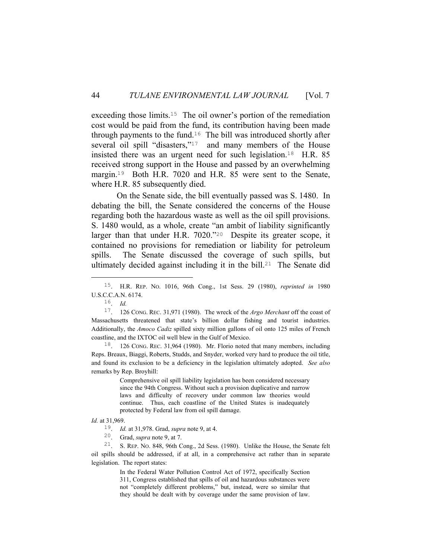exceeding those limits.<sup>15</sup> The oil owner's portion of the remediation cost would be paid from the fund, its contribution having been made through payments to the fund.<sup>16</sup> The bill was introduced shortly after several oil spill "disasters,"<sup>17</sup> and many members of the House insisted there was an urgent need for such legislation.18 H.R. 85 received strong support in the House and passed by an overwhelming margin.19 Both H.R. 7020 and H.R. 85 were sent to the Senate, where H.R. 85 subsequently died.

 On the Senate side, the bill eventually passed was S. 1480. In debating the bill, the Senate considered the concerns of the House regarding both the hazardous waste as well as the oil spill provisions. S. 1480 would, as a whole, create "an ambit of liability significantly larger than that under H.R. 7020."20 Despite its greater scope, it contained no provisions for remediation or liability for petroleum spills. The Senate discussed the coverage of such spills, but ultimately decided against including it in the bill.<sup>21</sup> The Senate did

18. 126 CONG. REC. 31,964 (1980). Mr. Florio noted that many members, including Reps. Breaux, Biaggi, Roberts, Studds, and Snyder, worked very hard to produce the oil title, and found its exclusion to be a deficiency in the legislation ultimately adopted. *See also* remarks by Rep. Broyhill:

> Comprehensive oil spill liability legislation has been considered necessary since the 94th Congress. Without such a provision duplicative and narrow laws and difficulty of recovery under common law theories would continue. Thus, each coastline of the United States is inadequately protected by Federal law from oil spill damage.

In the Federal Water Pollution Control Act of 1972, specifically Section 311, Congress established that spills of oil and hazardous substances were not "completely different problems," but, instead, were so similar that they should be dealt with by coverage under the same provision of law.

 <sup>15</sup>. H.R. REP. NO. 1016, 96th Cong., 1st Sess. 29 (1980), *reprinted in*<sup>1980</sup> U.S.C.C.A.N. 6174.

<sup>16</sup>. *Id.*

<sup>17</sup>. 126 CONG. REC. 31,971 (1980). The wreck of the *Argo Merchant* off the coast of Massachusetts threatened that state's billion dollar fishing and tourist industries. Additionally, the *Amoco Cadiz* spilled sixty million gallons of oil onto 125 miles of French coastline, and the IXTOC oil well blew in the Gulf of Mexico.

*Id.* at 31,969.

<sup>19</sup>. *Id.* at 31,978. Grad, *supra* note 9, at 4.

<sup>20</sup>. Grad, *supra* note 9, at 7.

<sup>21</sup>. S. REP. NO. 848, 96th Cong., 2d Sess. (1980). Unlike the House, the Senate felt oil spills should be addressed, if at all, in a comprehensive act rather than in separate legislation. The report states: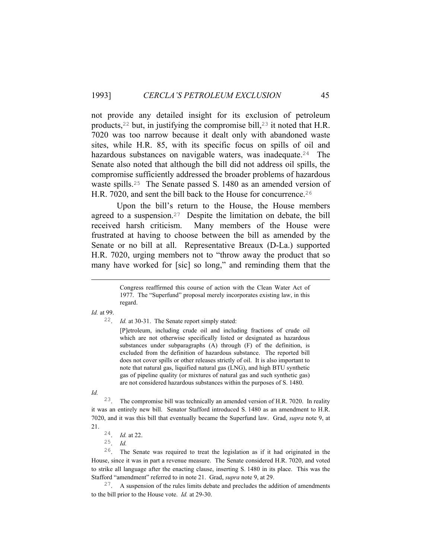not provide any detailed insight for its exclusion of petroleum products,<sup>22</sup> but, in justifying the compromise bill,<sup>23</sup> it noted that H.R. 7020 was too narrow because it dealt only with abandoned waste sites, while H.R. 85, with its specific focus on spills of oil and hazardous substances on navigable waters, was inadequate.<sup>24</sup> The Senate also noted that although the bill did not address oil spills, the compromise sufficiently addressed the broader problems of hazardous waste spills.25 The Senate passed S. 1480 as an amended version of H.R. 7020, and sent the bill back to the House for concurrence.<sup>26</sup>

 Upon the bill's return to the House, the House members agreed to a suspension.27 Despite the limitation on debate, the bill received harsh criticism. Many members of the House were frustrated at having to choose between the bill as amended by the Senate or no bill at all. Representative Breaux (D-La.) supported H.R. 7020, urging members not to "throw away the product that so many have worked for [sic] so long," and reminding them that the

*Id.* at 99.

i<br>Li

22. *Id.* at 30-31. The Senate report simply stated:

[P]etroleum, including crude oil and including fractions of crude oil which are not otherwise specifically listed or designated as hazardous substances under subparagraphs (A) through (F) of the definition, is excluded from the definition of hazardous substance. The reported bill does not cover spills or other releases strictly of oil. It is also important to note that natural gas, liquified natural gas (LNG), and high BTU synthetic gas of pipeline quality (or mixtures of natural gas and such synthetic gas) are not considered hazardous substances within the purposes of S. 1480.

*Id.*

23. The compromise bill was technically an amended version of H.R. 7020. In reality it was an entirely new bill. Senator Stafford introduced S. 1480 as an amendment to H.R. 7020, and it was this bill that eventually became the Superfund law. Grad, *supra* note 9, at 21.

24. *Id.* at 22.

25. *Id.*

26. The Senate was required to treat the legislation as if it had originated in the House, since it was in part a revenue measure. The Senate considered H.R. 7020, and voted to strike all language after the enacting clause, inserting S. 1480 in its place. This was the Stafford "amendment" referred to in note 21. Grad, *supra* note 9, at 29.

 $27.$  A suspension of the rules limits debate and precludes the addition of amendments to the bill prior to the House vote. *Id.* at 29-30.

Congress reaffirmed this course of action with the Clean Water Act of 1977. The "Superfund" proposal merely incorporates existing law, in this regard.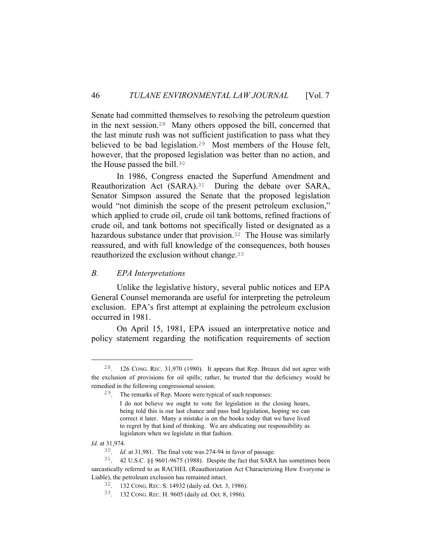Senate had committed themselves to resolving the petroleum question in the next session.28 Many others opposed the bill, concerned that the last minute rush was not sufficient justification to pass what they believed to be bad legislation.29 Most members of the House felt, however, that the proposed legislation was better than no action, and the House passed the bill.<sup>30</sup>

 In 1986, Congress enacted the Superfund Amendment and Reauthorization Act (SARA).31 During the debate over SARA, Senator Simpson assured the Senate that the proposed legislation would "not diminish the scope of the present petroleum exclusion," which applied to crude oil, crude oil tank bottoms, refined fractions of crude oil, and tank bottoms not specifically listed or designated as a hazardous substance under that provision.<sup>32</sup> The House was similarly reassured, and with full knowledge of the consequences, both houses reauthorized the exclusion without change.<sup>33</sup>

### *B. EPA Interpretations*

 Unlike the legislative history, several public notices and EPA General Counsel memoranda are useful for interpreting the petroleum exclusion. EPA's first attempt at explaining the petroleum exclusion occurred in 1981.

 On April 15, 1981, EPA issued an interpretative notice and policy statement regarding the notification requirements of section

 <sup>28</sup>. 126 CONG. REC. 31,970 (1980). It appears that Rep. Breaux did not agree with the exclusion of provisions for oil spills; rather, he trusted that the deficiency would be remedied in the following congressional session.

<sup>29</sup>. The remarks of Rep. Moore were typical of such responses:

I do not believe we ought to vote for legislation in the closing hours, being told this is our last chance and pass bad legislation, hoping we can correct it later. Many a mistake is on the books today that we have lived to regret by that kind of thinking. We are abdicating our responsibility as legislators when we legislate in that fashion.

*Id.* at 31,974.

<sup>30</sup>. *Id.* at 31,981. The final vote was 274-94 in favor of passage.

<sup>31</sup>. 42 U.S.C. §§ 9601-9675 (1988). Despite the fact that SARA has sometimes been sarcastically referred to as RACHEL (Reauthorization Act Characterizing How Everyone is Liable), the petroleum exclusion has remained intact.

<sup>32</sup>. 132 CONG. REC. S. 14932 (daily ed. Oct. 3, 1986).

<sup>33</sup>. 132 CONG. REC. H. 9605 (daily ed. Oct. 8, 1986).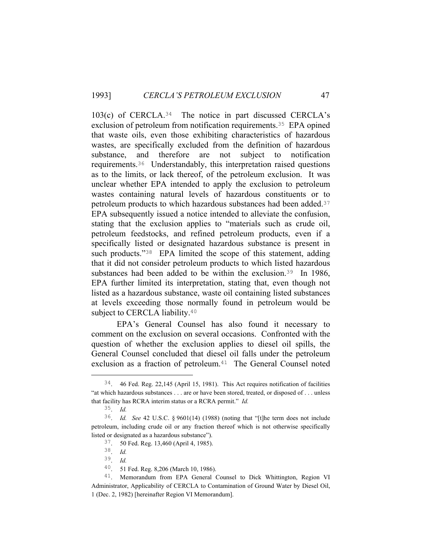103(c) of CERCLA.34 The notice in part discussed CERCLA's exclusion of petroleum from notification requirements.35 EPA opined that waste oils, even those exhibiting characteristics of hazardous wastes, are specifically excluded from the definition of hazardous substance, and therefore are not subject to notification requirements.36 Understandably, this interpretation raised questions as to the limits, or lack thereof, of the petroleum exclusion. It was unclear whether EPA intended to apply the exclusion to petroleum wastes containing natural levels of hazardous constituents or to petroleum products to which hazardous substances had been added.<sup>37</sup> EPA subsequently issued a notice intended to alleviate the confusion, stating that the exclusion applies to "materials such as crude oil, petroleum feedstocks, and refined petroleum products, even if a specifically listed or designated hazardous substance is present in such products."<sup>38</sup> EPA limited the scope of this statement, adding that it did not consider petroleum products to which listed hazardous substances had been added to be within the exclusion.<sup>39</sup> In 1986, EPA further limited its interpretation, stating that, even though not listed as a hazardous substance, waste oil containing listed substances at levels exceeding those normally found in petroleum would be subject to CERCLA liability.<sup>40</sup>

 EPA's General Counsel has also found it necessary to comment on the exclusion on several occasions. Confronted with the question of whether the exclusion applies to diesel oil spills, the General Counsel concluded that diesel oil falls under the petroleum exclusion as a fraction of petroleum.<sup>41</sup> The General Counsel noted

 <sup>34</sup>. 46 Fed. Reg. 22,145 (April 15, 1981). This Act requires notification of facilities "at which hazardous substances . . . are or have been stored, treated, or disposed of . . . unless that facility has RCRA interim status or a RCRA permit." *Id.*

<sup>35</sup>. *Id.*

<sup>36</sup>. *Id. See* 42 U.S.C. § 9601(14) (1988) (noting that "[t]he term does not include petroleum, including crude oil or any fraction thereof which is not otherwise specifically listed or designated as a hazardous substance").

<sup>37</sup>. 50 Fed. Reg. 13,460 (April 4, 1985).

<sup>38</sup>. *Id.*

<sup>39</sup>. *Id.*

<sup>40</sup>. 51 Fed. Reg. 8,206 (March 10, 1986).

<sup>41</sup>. Memorandum from EPA General Counsel to Dick Whittington, Region VI Administrator, Applicability of CERCLA to Contamination of Ground Water by Diesel Oil, 1 (Dec. 2, 1982) [hereinafter Region VI Memorandum].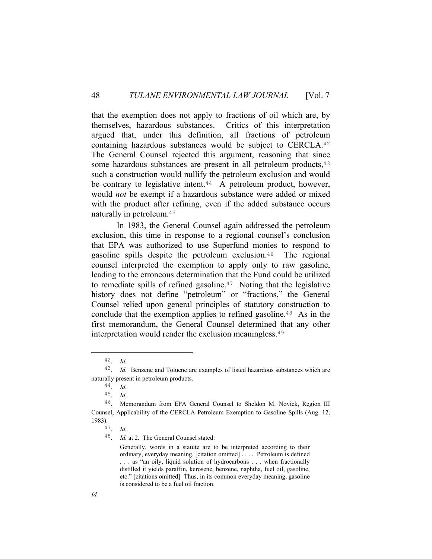that the exemption does not apply to fractions of oil which are, by themselves, hazardous substances. Critics of this interpretation argued that, under this definition, all fractions of petroleum containing hazardous substances would be subject to CERCLA.<sup>42</sup> The General Counsel rejected this argument, reasoning that since some hazardous substances are present in all petroleum products, <sup>43</sup> such a construction would nullify the petroleum exclusion and would be contrary to legislative intent.<sup>44</sup> A petroleum product, however, would *not* be exempt if a hazardous substance were added or mixed with the product after refining, even if the added substance occurs naturally in petroleum.<sup>45</sup>

 In 1983, the General Counsel again addressed the petroleum exclusion, this time in response to a regional counsel's conclusion that EPA was authorized to use Superfund monies to respond to gasoline spills despite the petroleum exclusion.46 The regional counsel interpreted the exemption to apply only to raw gasoline, leading to the erroneous determination that the Fund could be utilized to remediate spills of refined gasoline.<sup>47</sup> Noting that the legislative history does not define "petroleum" or "fractions," the General Counsel relied upon general principles of statutory construction to conclude that the exemption applies to refined gasoline.<sup>48</sup> As in the first memorandum, the General Counsel determined that any other interpretation would render the exclusion meaningless.<sup>49</sup>

 <sup>42</sup>. *Id.*

<sup>43</sup>. *Id.* Benzene and Toluene are examples of listed hazardous substances which are naturally present in petroleum products.

<sup>44</sup>. *Id.*

<sup>45</sup>. *Id.*

<sup>46</sup>. Memorandum from EPA General Counsel to Sheldon M. Novick, Region III Counsel, Applicability of the CERCLA Petroleum Exemption to Gasoline Spills (Aug. 12, 1983).

<sup>47</sup>. *Id.*

<sup>48</sup>. *Id.* at 2. The General Counsel stated:

Generally, words in a statute are to be interpreted according to their ordinary, everyday meaning. [citation omitted] . . . . Petroleum is defined . . . as "an oily, liquid solution of hydrocarbons . . . when fractionally distilled it yields paraffin, kerosene, benzene, naphtha, fuel oil, gasoline, etc." [citations omitted] Thus, in its common everyday meaning, gasoline is considered to be a fuel oil fraction.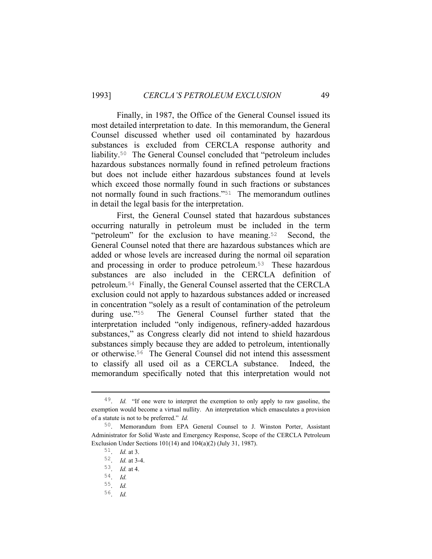Finally, in 1987, the Office of the General Counsel issued its most detailed interpretation to date. In this memorandum, the General Counsel discussed whether used oil contaminated by hazardous substances is excluded from CERCLA response authority and liability.50 The General Counsel concluded that "petroleum includes hazardous substances normally found in refined petroleum fractions but does not include either hazardous substances found at levels which exceed those normally found in such fractions or substances not normally found in such fractions."51 The memorandum outlines in detail the legal basis for the interpretation.

 First, the General Counsel stated that hazardous substances occurring naturally in petroleum must be included in the term "petroleum" for the exclusion to have meaning.52 Second, the General Counsel noted that there are hazardous substances which are added or whose levels are increased during the normal oil separation and processing in order to produce petroleum.53 These hazardous substances are also included in the CERCLA definition of petroleum.54 Finally, the General Counsel asserted that the CERCLA exclusion could not apply to hazardous substances added or increased in concentration "solely as a result of contamination of the petroleum during use."55 The General Counsel further stated that the interpretation included "only indigenous, refinery-added hazardous substances," as Congress clearly did not intend to shield hazardous substances simply because they are added to petroleum, intentionally or otherwise.56 The General Counsel did not intend this assessment to classify all used oil as a CERCLA substance. Indeed, the memorandum specifically noted that this interpretation would not

 <sup>49</sup>. *Id.* "If one were to interpret the exemption to only apply to raw gasoline, the exemption would become a virtual nullity. An interpretation which emasculates a provision of a statute is not to be preferred." *Id.*

<sup>50</sup>. Memorandum from EPA General Counsel to J. Winston Porter, Assistant Administrator for Solid Waste and Emergency Response, Scope of the CERCLA Petroleum Exclusion Under Sections 101(14) and 104(a)(2) (July 31, 1987).

<sup>51</sup>. *Id.* at 3.

<sup>52</sup>. *Id.* at 3-4.

<sup>53</sup>. *Id.* at 4.

<sup>54</sup>. *Id.*

<sup>55</sup>. *Id.*

<sup>56</sup>. *Id.*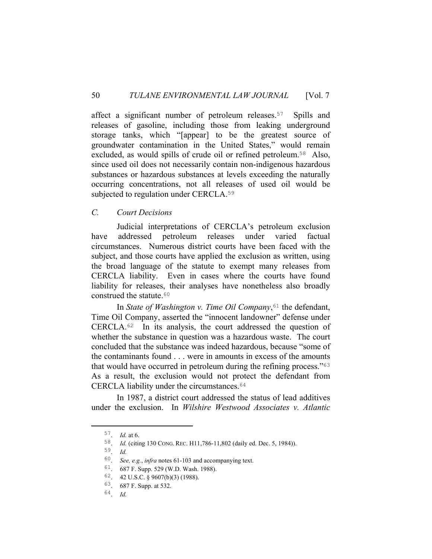affect a significant number of petroleum releases.<sup>57</sup> Spills and releases of gasoline, including those from leaking underground storage tanks, which "[appear] to be the greatest source of groundwater contamination in the United States," would remain excluded, as would spills of crude oil or refined petroleum.58 Also, since used oil does not necessarily contain non-indigenous hazardous substances or hazardous substances at levels exceeding the naturally occurring concentrations, not all releases of used oil would be subjected to regulation under CERCLA.<sup>59</sup>

## *C. Court Decisions*

 Judicial interpretations of CERCLA's petroleum exclusion have addressed petroleum releases under varied factual circumstances. Numerous district courts have been faced with the subject, and those courts have applied the exclusion as written, using the broad language of the statute to exempt many releases from CERCLA liability. Even in cases where the courts have found liability for releases, their analyses have nonetheless also broadly construed the statute.<sup>60</sup>

In *State of Washington v. Time Oil Company*,<sup>61</sup> the defendant, Time Oil Company, asserted the "innocent landowner" defense under CERCLA.62 In its analysis, the court addressed the question of whether the substance in question was a hazardous waste. The court concluded that the substance was indeed hazardous, because "some of the contaminants found . . . were in amounts in excess of the amounts that would have occurred in petroleum during the refining process."<sup>63</sup> As a result, the exclusion would not protect the defendant from CERCLA liability under the circumstances.<sup>64</sup>

 In 1987, a district court addressed the status of lead additives under the exclusion. In *Wilshire Westwood Associates v. Atlantic* 

 <sup>57</sup>. *Id.* at 6.

<sup>58</sup>. *Id.* (citing 130 CONG. REC. H11,786-11,802 (daily ed. Dec. 5, 1984)).

<sup>59</sup>. *Id.*

<sup>60</sup>. *See, e.g.*, *infra* notes 61-103 and accompanying text.

<sup>61</sup>. 687 F. Supp. 529 (W.D. Wash. 1988).

<sup>62</sup>. 42 U.S.C. § 9607(b)(3) (1988).

<sup>63</sup>. 687 F. Supp. at 532.

<sup>64</sup>. *Id.*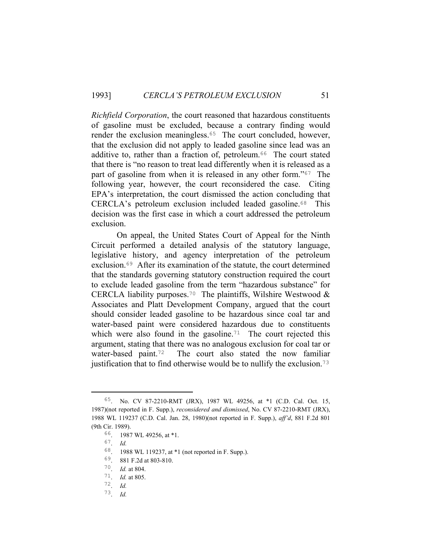*Richfield Corporation*, the court reasoned that hazardous constituents of gasoline must be excluded, because a contrary finding would render the exclusion meaningless.<sup>65</sup> The court concluded, however, that the exclusion did not apply to leaded gasoline since lead was an additive to, rather than a fraction of, petroleum.<sup>66</sup> The court stated that there is "no reason to treat lead differently when it is released as a part of gasoline from when it is released in any other form."67 The following year, however, the court reconsidered the case. Citing EPA's interpretation, the court dismissed the action concluding that CERCLA's petroleum exclusion included leaded gasoline.68 This decision was the first case in which a court addressed the petroleum exclusion.

 On appeal, the United States Court of Appeal for the Ninth Circuit performed a detailed analysis of the statutory language, legislative history, and agency interpretation of the petroleum exclusion.69 After its examination of the statute, the court determined that the standards governing statutory construction required the court to exclude leaded gasoline from the term "hazardous substance" for CERCLA liability purposes.<sup>70</sup> The plaintiffs, Wilshire Westwood & Associates and Platt Development Company, argued that the court should consider leaded gasoline to be hazardous since coal tar and water-based paint were considered hazardous due to constituents which were also found in the gasoline.<sup>71</sup> The court rejected this argument, stating that there was no analogous exclusion for coal tar or water-based paint.72 The court also stated the now familiar justification that to find otherwise would be to nullify the exclusion.<sup>73</sup>

 <sup>65</sup>. No. CV 87-2210-RMT (JRX), 1987 WL 49256, at \*1 (C.D. Cal. Oct. 15, 1987)(not reported in F. Supp.), *reconsidered and dismissed*, No. CV 87-2210-RMT (JRX), 1988 WL 119237 (C.D. Cal. Jan. 28, 1980)(not reported in F. Supp.), *aff'd*, 881 F.2d 801 (9th Cir. 1989).

<sup>66</sup>. 1987 WL 49256, at \*1.

<sup>67</sup>. *Id.*

<sup>68</sup>. 1988 WL 119237, at \*1 (not reported in F. Supp.).

<sup>69</sup>. 881 F.2d at 803-810.

<sup>70</sup>. *Id.* at 804.

<sup>71</sup>. *Id.* at 805.

<sup>72</sup>. *Id.*

<sup>73</sup>. *Id.*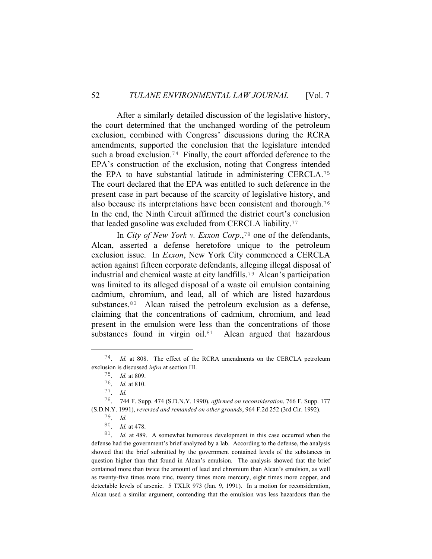After a similarly detailed discussion of the legislative history, the court determined that the unchanged wording of the petroleum exclusion, combined with Congress' discussions during the RCRA amendments, supported the conclusion that the legislature intended such a broad exclusion.<sup>74</sup> Finally, the court afforded deference to the EPA's construction of the exclusion, noting that Congress intended the EPA to have substantial latitude in administering CERCLA.<sup>75</sup> The court declared that the EPA was entitled to such deference in the present case in part because of the scarcity of legislative history, and also because its interpretations have been consistent and thorough.<sup>76</sup> In the end, the Ninth Circuit affirmed the district court's conclusion that leaded gasoline was excluded from CERCLA liability.<sup>77</sup>

 In *City of New York v. Exxon Corp.*, <sup>78</sup> one of the defendants, Alcan, asserted a defense heretofore unique to the petroleum exclusion issue. In *Exxon*, New York City commenced a CERCLA action against fifteen corporate defendants, alleging illegal disposal of industrial and chemical waste at city landfills.79 Alcan's participation was limited to its alleged disposal of a waste oil emulsion containing cadmium, chromium, and lead, all of which are listed hazardous substances.<sup>80</sup> Alcan raised the petroleum exclusion as a defense, claiming that the concentrations of cadmium, chromium, and lead present in the emulsion were less than the concentrations of those substances found in virgin oil.<sup>81</sup> Alcan argued that hazardous

 <sup>74</sup>. *Id.* at 808. The effect of the RCRA amendments on the CERCLA petroleum exclusion is discussed *infra* at section III.

<sup>75</sup>. *Id.* at 809.

<sup>76</sup>. *Id.* at 810.

<sup>77</sup>. *Id.*

<sup>78</sup>. 744 F. Supp. 474 (S.D.N.Y. 1990), *affirmed on reconsideration*, 766 F. Supp. 177 (S.D.N.Y. 1991), *reversed and remanded on other grounds*, 964 F.2d 252 (3rd Cir. 1992).

<sup>79</sup>. *Id.*

<sup>80</sup>. *Id.* at 478.

<sup>81</sup>. *Id.* at 489. A somewhat humorous development in this case occurred when the defense had the government's brief analyzed by a lab. According to the defense, the analysis showed that the brief submitted by the government contained levels of the substances in question higher than that found in Alcan's emulsion. The analysis showed that the brief contained more than twice the amount of lead and chromium than Alcan's emulsion, as well as twenty-five times more zinc, twenty times more mercury, eight times more copper, and detectable levels of arsenic. 5 TXLR 973 (Jan. 9, 1991). In a motion for reconsideration, Alcan used a similar argument, contending that the emulsion was less hazardous than the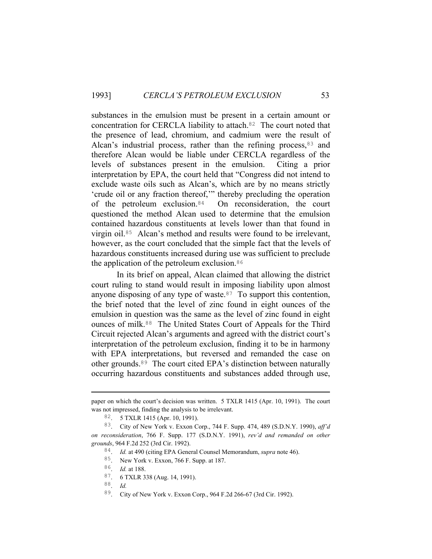substances in the emulsion must be present in a certain amount or concentration for CERCLA liability to attach.82 The court noted that the presence of lead, chromium, and cadmium were the result of Alcan's industrial process, rather than the refining process,  $83$  and therefore Alcan would be liable under CERCLA regardless of the levels of substances present in the emulsion. Citing a prior interpretation by EPA, the court held that "Congress did not intend to exclude waste oils such as Alcan's, which are by no means strictly 'crude oil or any fraction thereof,'" thereby precluding the operation of the petroleum exclusion.84 On reconsideration, the court questioned the method Alcan used to determine that the emulsion contained hazardous constituents at levels lower than that found in virgin oil.85 Alcan's method and results were found to be irrelevant, however, as the court concluded that the simple fact that the levels of hazardous constituents increased during use was sufficient to preclude the application of the petroleum exclusion.<sup>86</sup>

 In its brief on appeal, Alcan claimed that allowing the district court ruling to stand would result in imposing liability upon almost anyone disposing of any type of waste. $87$  To support this contention, the brief noted that the level of zinc found in eight ounces of the emulsion in question was the same as the level of zinc found in eight ounces of milk.88 The United States Court of Appeals for the Third Circuit rejected Alcan's arguments and agreed with the district court's interpretation of the petroleum exclusion, finding it to be in harmony with EPA interpretations, but reversed and remanded the case on other grounds.89 The court cited EPA's distinction between naturally occurring hazardous constituents and substances added through use,

i<br>Li

paper on which the court's decision was written. 5 TXLR 1415 (Apr. 10, 1991). The court was not impressed, finding the analysis to be irrelevant.

<sup>82</sup>. 5 TXLR 1415 (Apr. 10, 1991).

<sup>83</sup>. City of New York v. Exxon Corp., 744 F. Supp. 474, 489 (S.D.N.Y. 1990), *aff'd on reconsideration*, 766 F. Supp. 177 (S.D.N.Y. 1991), *rev'd and remanded on other grounds*, 964 F.2d 252 (3rd Cir. 1992).

<sup>84</sup>. *Id.* at 490 (citing EPA General Counsel Memorandum, *supra* note 46).

<sup>85</sup>. New York v. Exxon, 766 F. Supp. at 187.

<sup>86</sup>. *Id.* at 188.

<sup>87</sup>. 6 TXLR 338 (Aug. 14, 1991).

<sup>88</sup>. *Id.*

<sup>89</sup>. City of New York v. Exxon Corp., 964 F.2d 266-67 (3rd Cir. 1992).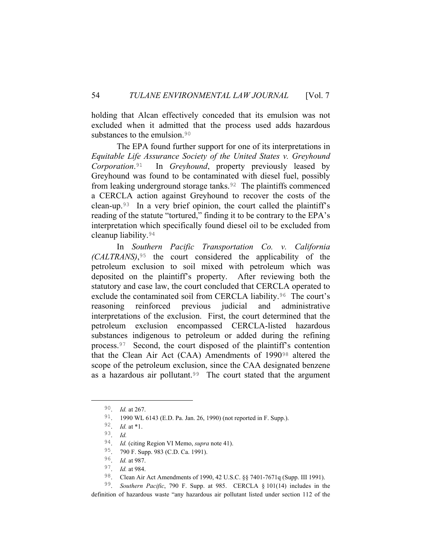holding that Alcan effectively conceded that its emulsion was not excluded when it admitted that the process used adds hazardous substances to the emulsion.<sup>90</sup>

 The EPA found further support for one of its interpretations in *Equitable Life Assurance Society of the United States v. Greyhound Corporation*.91 In *Greyhound*, property previously leased by Greyhound was found to be contaminated with diesel fuel, possibly from leaking underground storage tanks.<sup>92</sup> The plaintiffs commenced a CERCLA action against Greyhound to recover the costs of the clean-up.93 In a very brief opinion, the court called the plaintiff's reading of the statute "tortured," finding it to be contrary to the EPA's interpretation which specifically found diesel oil to be excluded from cleanup liability.<sup>94</sup>

 In *Southern Pacific Transportation Co. v. California (CALTRANS)*,95 the court considered the applicability of the petroleum exclusion to soil mixed with petroleum which was deposited on the plaintiff's property. After reviewing both the statutory and case law, the court concluded that CERCLA operated to exclude the contaminated soil from CERCLA liability.<sup>96</sup> The court's reasoning reinforced previous judicial and administrative interpretations of the exclusion. First, the court determined that the petroleum exclusion encompassed CERCLA-listed hazardous substances indigenous to petroleum or added during the refining process.97 Second, the court disposed of the plaintiff's contention that the Clean Air Act (CAA) Amendments of 199098 altered the scope of the petroleum exclusion, since the CAA designated benzene as a hazardous air pollutant.<sup>99</sup> The court stated that the argument

99. *Southern Pacific*, 790 F. Supp. at 985. CERCLA § 101(14) includes in the definition of hazardous waste "any hazardous air pollutant listed under section 112 of the

 <sup>90</sup>. *Id.* at 267.

<sup>91</sup>. 1990 WL 6143 (E.D. Pa. Jan. 26, 1990) (not reported in F. Supp.).

<sup>92</sup>. *Id.* at \*1.

<sup>93</sup>. *Id.*

<sup>94</sup>. *Id.* (citing Region VI Memo, *supra* note 41).

<sup>95</sup>. 790 F. Supp. 983 (C.D. Ca. 1991).

<sup>96</sup>. *Id.* at 987.

<sup>97</sup>. *Id.* at 984.

<sup>98</sup>. Clean Air Act Amendments of 1990, 42 U.S.C. §§ 7401-7671q (Supp. III 1991).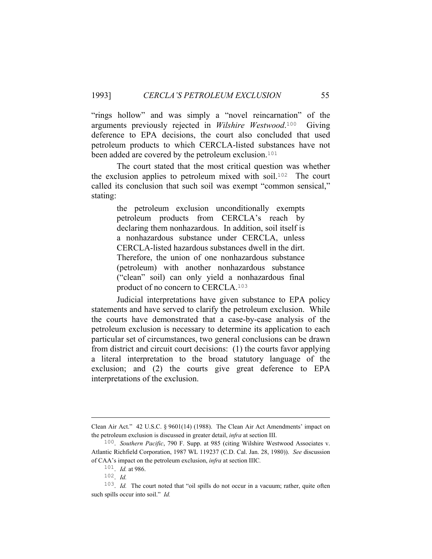"rings hollow" and was simply a "novel reincarnation" of the arguments previously rejected in *Wilshire Westwood*.100 Giving deference to EPA decisions, the court also concluded that used petroleum products to which CERCLA-listed substances have not been added are covered by the petroleum exclusion.<sup>101</sup>

 The court stated that the most critical question was whether the exclusion applies to petroleum mixed with soil.102 The court called its conclusion that such soil was exempt "common sensical," stating:

> the petroleum exclusion unconditionally exempts petroleum products from CERCLA's reach by declaring them nonhazardous. In addition, soil itself is a nonhazardous substance under CERCLA, unless CERCLA-listed hazardous substances dwell in the dirt. Therefore, the union of one nonhazardous substance (petroleum) with another nonhazardous substance ("clean" soil) can only yield a nonhazardous final product of no concern to CERCLA.<sup>103</sup>

 Judicial interpretations have given substance to EPA policy statements and have served to clarify the petroleum exclusion. While the courts have demonstrated that a case-by-case analysis of the petroleum exclusion is necessary to determine its application to each particular set of circumstances, two general conclusions can be drawn from district and circuit court decisions: (1) the courts favor applying a literal interpretation to the broad statutory language of the exclusion; and (2) the courts give great deference to EPA interpretations of the exclusion.

i<br>Li

Clean Air Act." 42 U.S.C. § 9601(14) (1988). The Clean Air Act Amendments' impact on the petroleum exclusion is discussed in greater detail, *infra* at section III.

<sup>100</sup>. *Southern Pacific*, 790 F. Supp. at 985 (citing Wilshire Westwood Associates v. Atlantic Richfield Corporation, 1987 WL 119237 (C.D. Cal. Jan. 28, 1980)). *See* discussion of CAA's impact on the petroleum exclusion, *infra* at section IIIC*.*

<sup>101</sup>. *Id.* at 986.

<sup>102</sup>. *Id.*

<sup>&</sup>lt;sup>103</sup>. *Id.* The court noted that "oil spills do not occur in a vacuum; rather, quite often such spills occur into soil." *Id.*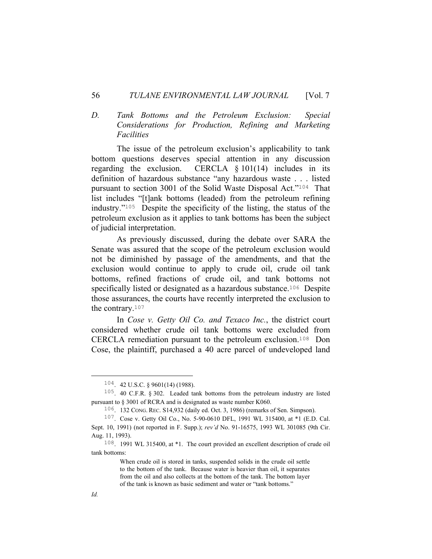#### 56 *TULANE ENVIRONMENTAL LAW JOURNAL* [Vol. 7

# *D. Tank Bottoms and the Petroleum Exclusion: Special Considerations for Production, Refining and Marketing Facilities*

 The issue of the petroleum exclusion's applicability to tank bottom questions deserves special attention in any discussion regarding the exclusion. CERCLA  $\S$  101(14) includes in its definition of hazardous substance "any hazardous waste . . . listed pursuant to section 3001 of the Solid Waste Disposal Act."104 That list includes "[t]ank bottoms (leaded) from the petroleum refining industry."105 Despite the specificity of the listing, the status of the petroleum exclusion as it applies to tank bottoms has been the subject of judicial interpretation.

 As previously discussed, during the debate over SARA the Senate was assured that the scope of the petroleum exclusion would not be diminished by passage of the amendments, and that the exclusion would continue to apply to crude oil, crude oil tank bottoms, refined fractions of crude oil, and tank bottoms not specifically listed or designated as a hazardous substance.<sup>106</sup> Despite those assurances, the courts have recently interpreted the exclusion to the contrary.<sup>107</sup>

 In *Cose v. Getty Oil Co. and Texaco Inc.*, the district court considered whether crude oil tank bottoms were excluded from CERCLA remediation pursuant to the petroleum exclusion.108 Don Cose, the plaintiff, purchased a 40 acre parcel of undeveloped land

 <sup>104</sup>. 42 U.S.C. § 9601(14) (1988).

<sup>105</sup>. 40 C.F.R. § 302. Leaded tank bottoms from the petroleum industry are listed pursuant to § 3001 of RCRA and is designated as waste number K060.

<sup>106</sup>. 132 CONG. REC. S14,932 (daily ed. Oct. 3, 1986) (remarks of Sen. Simpson).

<sup>107</sup>. Cose v. Getty Oil Co., No. 5-90-0610 DFL, 1991 WL 315400, at \*1 (E.D. Cal. Sept. 10, 1991) (not reported in F. Supp.); *rev'd* No. 91-16575, 1993 WL 301085 (9th Cir. Aug. 11, 1993).

<sup>108</sup>. 1991 WL 315400, at \*1. The court provided an excellent description of crude oil tank bottoms:

When crude oil is stored in tanks, suspended solids in the crude oil settle to the bottom of the tank. Because water is heavier than oil, it separates from the oil and also collects at the bottom of the tank. The bottom layer of the tank is known as basic sediment and water or "tank bottoms."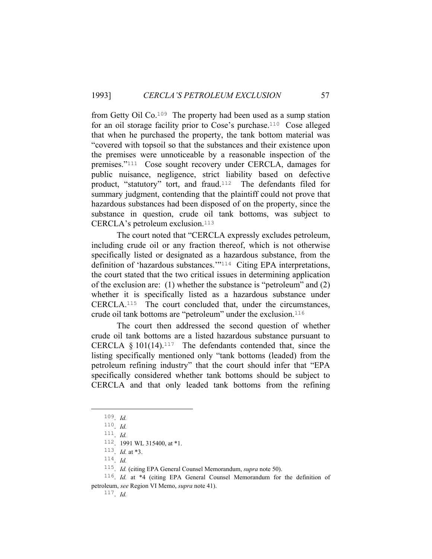from Getty Oil Co.109 The property had been used as a sump station for an oil storage facility prior to Cose's purchase.110 Cose alleged that when he purchased the property, the tank bottom material was "covered with topsoil so that the substances and their existence upon the premises were unnoticeable by a reasonable inspection of the premises."111 Cose sought recovery under CERCLA, damages for public nuisance, negligence, strict liability based on defective product, "statutory" tort, and fraud.<sup>112</sup> The defendants filed for summary judgment, contending that the plaintiff could not prove that hazardous substances had been disposed of on the property, since the substance in question, crude oil tank bottoms, was subject to CERCLA's petroleum exclusion.<sup>113</sup>

 The court noted that "CERCLA expressly excludes petroleum, including crude oil or any fraction thereof, which is not otherwise specifically listed or designated as a hazardous substance, from the definition of 'hazardous substances.'"114 Citing EPA interpretations, the court stated that the two critical issues in determining application of the exclusion are: (1) whether the substance is "petroleum" and (2) whether it is specifically listed as a hazardous substance under CERCLA.115 The court concluded that, under the circumstances, crude oil tank bottoms are "petroleum" under the exclusion.<sup>116</sup>

 The court then addressed the second question of whether crude oil tank bottoms are a listed hazardous substance pursuant to CERCLA  $§ 101(14).<sup>117</sup>$  The defendants contended that, since the listing specifically mentioned only "tank bottoms (leaded) from the petroleum refining industry" that the court should infer that "EPA specifically considered whether tank bottoms should be subject to CERCLA and that only leaded tank bottoms from the refining

 <sup>109</sup>. *Id.*

<sup>110</sup>. *Id.*

<sup>111</sup>. *Id.*

<sup>112</sup>. 1991 WL 315400, at \*1.

<sup>113</sup>. *Id.* at \*3.

<sup>114</sup>. *Id.*

<sup>115</sup>. *Id.* (citing EPA General Counsel Memorandum, *supra* note 50).

<sup>116</sup>. *Id.* at \*4 (citing EPA General Counsel Memorandum for the definition of petroleum, *see* Region VI Memo, *supra* note 41).

<sup>117</sup>. *Id.*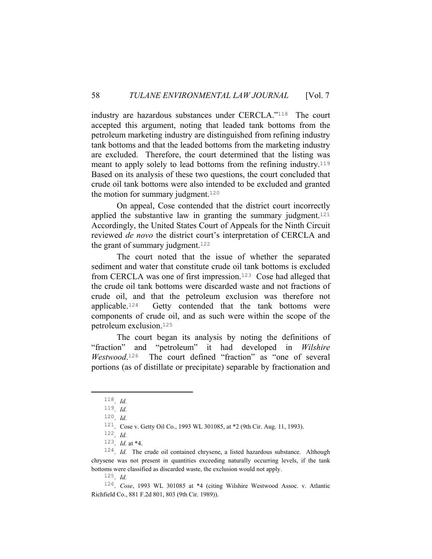industry are hazardous substances under CERCLA."118 The court accepted this argument, noting that leaded tank bottoms from the petroleum marketing industry are distinguished from refining industry tank bottoms and that the leaded bottoms from the marketing industry are excluded. Therefore, the court determined that the listing was meant to apply solely to lead bottoms from the refining industry.<sup>119</sup> Based on its analysis of these two questions, the court concluded that crude oil tank bottoms were also intended to be excluded and granted the motion for summary judgment. $120$ 

 On appeal, Cose contended that the district court incorrectly applied the substantive law in granting the summary judgment.<sup>121</sup> Accordingly, the United States Court of Appeals for the Ninth Circuit reviewed *de novo* the district court's interpretation of CERCLA and the grant of summary judgment. $122$ 

 The court noted that the issue of whether the separated sediment and water that constitute crude oil tank bottoms is excluded from CERCLA was one of first impression.123 Cose had alleged that the crude oil tank bottoms were discarded waste and not fractions of crude oil, and that the petroleum exclusion was therefore not applicable.124 Getty contended that the tank bottoms were components of crude oil, and as such were within the scope of the petroleum exclusion.<sup>125</sup>

 The court began its analysis by noting the definitions of "fraction" and "petroleum" it had developed in *Wilshire Westwood*. The court defined "fraction" as "one of several portions (as of distillate or precipitate) separable by fractionation and

 <sup>118</sup>. *Id.*

<sup>119</sup>. *Id.*

<sup>120</sup>. *Id.*

<sup>121</sup>. Cose v. Getty Oil Co., 1993 WL 301085, at \*2 (9th Cir. Aug. 11, 1993).

<sup>122</sup>. *Id.*

<sup>123</sup>. *Id.* at \*4.

<sup>124</sup>. *Id.* The crude oil contained chrysene, a listed hazardous substance. Although chrysene was not present in quantities exceeding naturally occurring levels, if the tank bottoms were classified as discarded waste, the exclusion would not apply.

<sup>125</sup>. *Id.*

<sup>126</sup>. *Cose*, 1993 WL 301085 at \*4 (citing Wilshire Westwood Assoc. v. Atlantic Richfield Co., 881 F.2d 801, 803 (9th Cir. 1989)).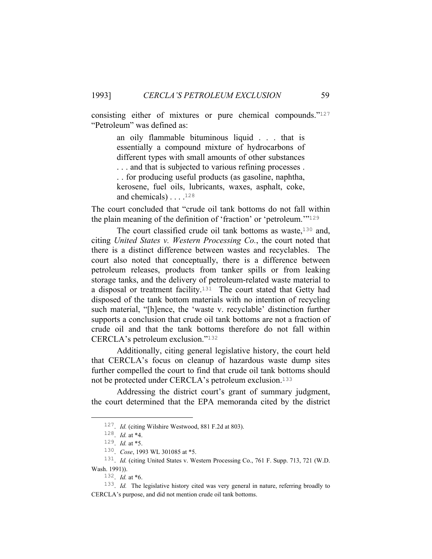consisting either of mixtures or pure chemical compounds."<sup>127</sup> "Petroleum" was defined as:

> an oily flammable bituminous liquid . . . that is essentially a compound mixture of hydrocarbons of different types with small amounts of other substances . . . and that is subjected to various refining processes . . . for producing useful products (as gasoline, naphtha, kerosene, fuel oils, lubricants, waxes, asphalt, coke, and chemicals)  $\dots$ .<sup>128</sup>

The court concluded that "crude oil tank bottoms do not fall within the plain meaning of the definition of 'fraction' or 'petroleum.'"<sup>129</sup>

The court classified crude oil tank bottoms as waste, $130$  and, citing *United States v. Western Processing Co.*, the court noted that there is a distinct difference between wastes and recyclables. The court also noted that conceptually, there is a difference between petroleum releases, products from tanker spills or from leaking storage tanks, and the delivery of petroleum-related waste material to a disposal or treatment facility.<sup>131</sup> The court stated that Getty had disposed of the tank bottom materials with no intention of recycling such material, "[h]ence, the 'waste v. recyclable' distinction further supports a conclusion that crude oil tank bottoms are not a fraction of crude oil and that the tank bottoms therefore do not fall within CERCLA's petroleum exclusion."<sup>132</sup>

 Additionally, citing general legislative history, the court held that CERCLA's focus on cleanup of hazardous waste dump sites further compelled the court to find that crude oil tank bottoms should not be protected under CERCLA's petroleum exclusion.<sup>133</sup>

 Addressing the district court's grant of summary judgment, the court determined that the EPA memoranda cited by the district

 <sup>127</sup>. *Id.* (citing Wilshire Westwood, 881 F.2d at 803).

<sup>128</sup>. *Id.* at \*4.

<sup>129</sup>. *Id.* at \*5.

<sup>130</sup>. *Cose*, 1993 WL 301085 at \*5.

<sup>&</sup>lt;sup>131</sup>. *Id.* (citing United States v. Western Processing Co., 761 F. Supp. 713, 721 (W.D. Wash. 1991)).

<sup>132</sup>. *Id.* at \*6.

<sup>133</sup>. *Id.* The legislative history cited was very general in nature, referring broadly to CERCLA's purpose, and did not mention crude oil tank bottoms.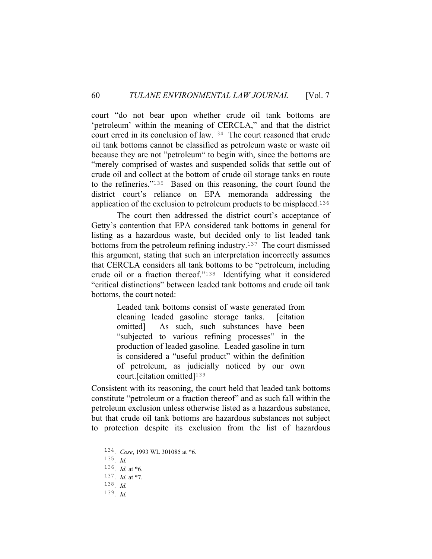court "do not bear upon whether crude oil tank bottoms are 'petroleum' within the meaning of CERCLA," and that the district court erred in its conclusion of law.134 The court reasoned that crude oil tank bottoms cannot be classified as petroleum waste or waste oil because they are not "petroleum" to begin with, since the bottoms are "merely comprised of wastes and suspended solids that settle out of crude oil and collect at the bottom of crude oil storage tanks en route to the refineries."135 Based on this reasoning, the court found the district court's reliance on EPA memoranda addressing the application of the exclusion to petroleum products to be misplaced.<sup>136</sup>

 The court then addressed the district court's acceptance of Getty's contention that EPA considered tank bottoms in general for listing as a hazardous waste, but decided only to list leaded tank bottoms from the petroleum refining industry.<sup>137</sup> The court dismissed this argument, stating that such an interpretation incorrectly assumes that CERCLA considers all tank bottoms to be "petroleum, including crude oil or a fraction thereof."138 Identifying what it considered "critical distinctions" between leaded tank bottoms and crude oil tank bottoms, the court noted:

> Leaded tank bottoms consist of waste generated from cleaning leaded gasoline storage tanks. [citation omitted] As such, such substances have been "subjected to various refining processes" in the production of leaded gasoline. Leaded gasoline in turn is considered a "useful product" within the definition of petroleum, as judicially noticed by our own court. [citation omitted]<sup>139</sup>

Consistent with its reasoning, the court held that leaded tank bottoms constitute "petroleum or a fraction thereof" and as such fall within the petroleum exclusion unless otherwise listed as a hazardous substance, but that crude oil tank bottoms are hazardous substances not subject to protection despite its exclusion from the list of hazardous

 <sup>134</sup>. *Cose*, 1993 WL 301085 at \*6.

<sup>135</sup>. *Id.*

<sup>136</sup>. *Id.* at \*6.

<sup>137</sup>. *Id.* at \*7.

<sup>138</sup>. *Id.*

<sup>139</sup>. *Id.*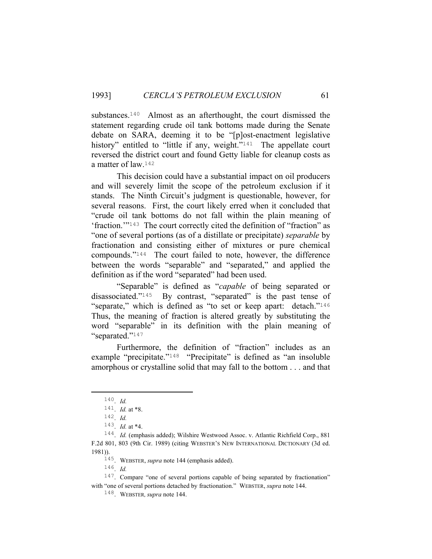substances.<sup>140</sup> Almost as an afterthought, the court dismissed the statement regarding crude oil tank bottoms made during the Senate debate on SARA, deeming it to be "[p]ost-enactment legislative history" entitled to "little if any, weight."<sup>141</sup> The appellate court reversed the district court and found Getty liable for cleanup costs as a matter of law.<sup>142</sup>

 This decision could have a substantial impact on oil producers and will severely limit the scope of the petroleum exclusion if it stands. The Ninth Circuit's judgment is questionable, however, for several reasons. First, the court likely erred when it concluded that "crude oil tank bottoms do not fall within the plain meaning of 'fraction.'"143 The court correctly cited the definition of "fraction" as "one of several portions (as of a distillate or precipitate) *separable* by fractionation and consisting either of mixtures or pure chemical compounds."144 The court failed to note, however, the difference between the words "separable" and "separated," and applied the definition as if the word "separated" had been used.

 "Separable" is defined as "*capable* of being separated or disassociated."145 By contrast, "separated" is the past tense of "separate," which is defined as "to set or keep apart: detach."<sup>146</sup> Thus, the meaning of fraction is altered greatly by substituting the word "separable" in its definition with the plain meaning of "separated."<sup>147</sup>

 Furthermore, the definition of "fraction" includes as an example "precipitate."<sup>148</sup> "Precipitate" is defined as "an insoluble amorphous or crystalline solid that may fall to the bottom . . . and that

145. WEBSTER, *supra* note 144 (emphasis added).

 <sup>140</sup>. *Id.*

<sup>141</sup>. *Id.* at \*8.

<sup>142</sup>. *Id.*

<sup>143</sup>. *Id.* at \*4.

<sup>&</sup>lt;sup>144</sup>. *Id.* (emphasis added); Wilshire Westwood Assoc. v. Atlantic Richfield Corp., 881 F.2d 801, 803 (9th Cir. 1989) (citing WEBSTER'S NEW INTERNATIONAL DICTIONARY (3d ed. 1981)).

<sup>146</sup>. *Id.*

<sup>&</sup>lt;sup>147</sup>. Compare "one of several portions capable of being separated by fractionation" with "one of several portions detached by fractionation." WEBSTER, *supra* note 144.

<sup>148</sup>. WEBSTER*, supra* note 144.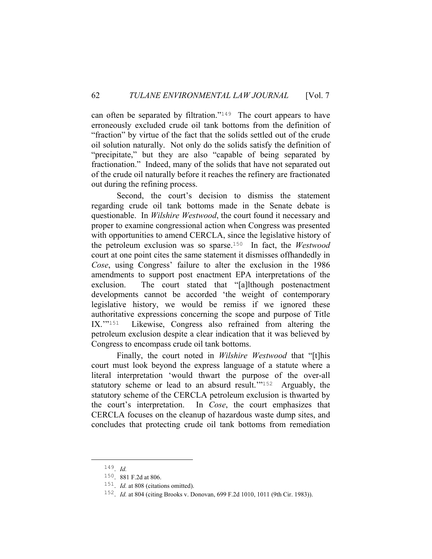can often be separated by filtration."149 The court appears to have erroneously excluded crude oil tank bottoms from the definition of "fraction" by virtue of the fact that the solids settled out of the crude oil solution naturally. Not only do the solids satisfy the definition of "precipitate," but they are also "capable of being separated by fractionation." Indeed, many of the solids that have not separated out of the crude oil naturally before it reaches the refinery are fractionated out during the refining process.

 Second, the court's decision to dismiss the statement regarding crude oil tank bottoms made in the Senate debate is questionable. In *Wilshire Westwood*, the court found it necessary and proper to examine congressional action when Congress was presented with opportunities to amend CERCLA, since the legislative history of the petroleum exclusion was so sparse.150 In fact, the *Westwood* court at one point cites the same statement it dismisses offhandedly in *Cose*, using Congress' failure to alter the exclusion in the 1986 amendments to support post enactment EPA interpretations of the exclusion. The court stated that "[a]lthough postenactment developments cannot be accorded 'the weight of contemporary legislative history, we would be remiss if we ignored these authoritative expressions concerning the scope and purpose of Title IX.'"151 Likewise, Congress also refrained from altering the petroleum exclusion despite a clear indication that it was believed by Congress to encompass crude oil tank bottoms.

 Finally, the court noted in *Wilshire Westwood* that "[t]his court must look beyond the express language of a statute where a literal interpretation 'would thwart the purpose of the over-all statutory scheme or lead to an absurd result.'"152 Arguably, the statutory scheme of the CERCLA petroleum exclusion is thwarted by the court's interpretation. In *Cose*, the court emphasizes that CERCLA focuses on the cleanup of hazardous waste dump sites, and concludes that protecting crude oil tank bottoms from remediation

 <sup>149</sup>. *Id.*

<sup>150</sup>. 881 F.2d at 806.

<sup>151</sup>. *Id.* at 808 (citations omitted).

<sup>152</sup>. *Id.* at 804 (citing Brooks v. Donovan, 699 F.2d 1010, 1011 (9th Cir. 1983)).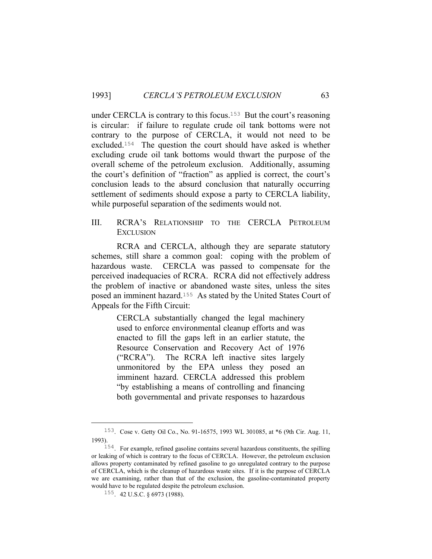under CERCLA is contrary to this focus.153 But the court's reasoning is circular: if failure to regulate crude oil tank bottoms were not contrary to the purpose of CERCLA, it would not need to be excluded.154 The question the court should have asked is whether excluding crude oil tank bottoms would thwart the purpose of the overall scheme of the petroleum exclusion. Additionally, assuming the court's definition of "fraction" as applied is correct, the court's conclusion leads to the absurd conclusion that naturally occurring settlement of sediments should expose a party to CERCLA liability, while purposeful separation of the sediments would not.

III. RCRA'S RELATIONSHIP TO THE CERCLA PETROLEUM **EXCLUSION** 

 RCRA and CERCLA, although they are separate statutory schemes, still share a common goal: coping with the problem of hazardous waste. CERCLA was passed to compensate for the perceived inadequacies of RCRA. RCRA did not effectively address the problem of inactive or abandoned waste sites, unless the sites posed an imminent hazard.155 As stated by the United States Court of Appeals for the Fifth Circuit:

> CERCLA substantially changed the legal machinery used to enforce environmental cleanup efforts and was enacted to fill the gaps left in an earlier statute, the Resource Conservation and Recovery Act of 1976 ("RCRA"). The RCRA left inactive sites largely unmonitored by the EPA unless they posed an imminent hazard. CERCLA addressed this problem "by establishing a means of controlling and financing both governmental and private responses to hazardous

 <sup>153</sup>. Cose v. Getty Oil Co., No. 91-16575, 1993 WL 301085, at \*6 (9th Cir. Aug. 11, 1993).

<sup>154</sup>. For example, refined gasoline contains several hazardous constituents, the spilling or leaking of which is contrary to the focus of CERCLA. However, the petroleum exclusion allows property contaminated by refined gasoline to go unregulated contrary to the purpose of CERCLA, which is the cleanup of hazardous waste sites. If it is the purpose of CERCLA we are examining, rather than that of the exclusion, the gasoline-contaminated property would have to be regulated despite the petroleum exclusion.

<sup>155</sup>. 42 U.S.C. § 6973 (1988).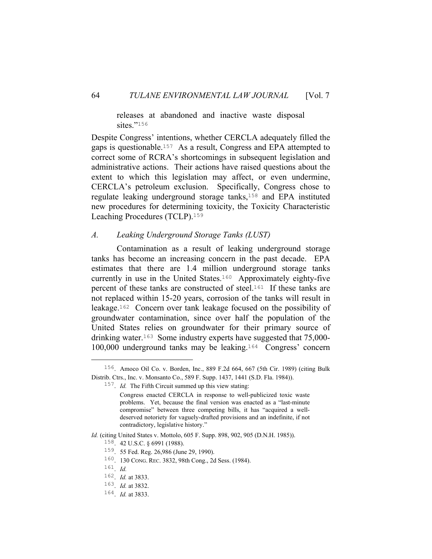releases at abandoned and inactive waste disposal sites."156

Despite Congress' intentions, whether CERCLA adequately filled the gaps is questionable.157 As a result, Congress and EPA attempted to correct some of RCRA's shortcomings in subsequent legislation and administrative actions. Their actions have raised questions about the extent to which this legislation may affect, or even undermine, CERCLA's petroleum exclusion. Specifically, Congress chose to regulate leaking underground storage tanks,158 and EPA instituted new procedures for determining toxicity, the Toxicity Characteristic Leaching Procedures (TCLP).<sup>159</sup>

## *A. Leaking Underground Storage Tanks (LUST)*

 Contamination as a result of leaking underground storage tanks has become an increasing concern in the past decade. EPA estimates that there are 1.4 million underground storage tanks currently in use in the United States.160 Approximately eighty-five percent of these tanks are constructed of steel.161 If these tanks are not replaced within 15-20 years, corrosion of the tanks will result in leakage.162 Concern over tank leakage focused on the possibility of groundwater contamination, since over half the population of the United States relies on groundwater for their primary source of drinking water.163 Some industry experts have suggested that 75,000- 100,000 underground tanks may be leaking.164 Congress' concern

*Id.* (citing United States v. Mottolo, 605 F. Supp. 898, 902, 905 (D.N.H. 1985)).

 <sup>156</sup>. Amoco Oil Co. v. Borden, Inc., 889 F.2d 664, 667 (5th Cir. 1989) (citing Bulk Distrib. Ctrs., Inc. v. Monsanto Co., 589 F. Supp. 1437, 1441 (S.D. Fla. 1984)).

<sup>157</sup>. *Id.* The Fifth Circuit summed up this view stating:

Congress enacted CERCLA in response to well-publicized toxic waste problems. Yet, because the final version was enacted as a "last-minute compromise" between three competing bills, it has "acquired a welldeserved notoriety for vaguely-drafted provisions and an indefinite, if not contradictory, legislative history."

<sup>158</sup>. 42 U.S.C. § 6991 (1988).

<sup>159</sup>. 55 Fed. Reg. 26,986 (June 29, 1990).

<sup>160</sup>. 130 CONG. REC. 3832, 98th Cong., 2d Sess. (1984).

<sup>161</sup>. *Id.*

<sup>162</sup>. *Id.* at 3833.

<sup>163</sup>. *Id.* at 3832.

<sup>164</sup>. *Id.* at 3833.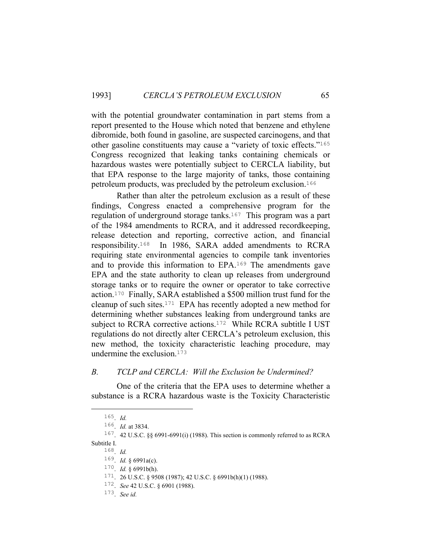with the potential groundwater contamination in part stems from a report presented to the House which noted that benzene and ethylene dibromide, both found in gasoline, are suspected carcinogens, and that other gasoline constituents may cause a "variety of toxic effects."<sup>165</sup> Congress recognized that leaking tanks containing chemicals or hazardous wastes were potentially subject to CERCLA liability, but that EPA response to the large majority of tanks, those containing petroleum products, was precluded by the petroleum exclusion.<sup>166</sup>

 Rather than alter the petroleum exclusion as a result of these findings, Congress enacted a comprehensive program for the regulation of underground storage tanks.<sup>167</sup> This program was a part of the 1984 amendments to RCRA, and it addressed recordkeeping, release detection and reporting, corrective action, and financial responsibility.168 In 1986, SARA added amendments to RCRA requiring state environmental agencies to compile tank inventories and to provide this information to EPA.169 The amendments gave EPA and the state authority to clean up releases from underground storage tanks or to require the owner or operator to take corrective action.170 Finally, SARA established a \$500 million trust fund for the cleanup of such sites.171 EPA has recently adopted a new method for determining whether substances leaking from underground tanks are subject to RCRA corrective actions.<sup>172</sup> While RCRA subtitle I UST regulations do not directly alter CERCLA's petroleum exclusion, this new method, the toxicity characteristic leaching procedure, may undermine the exclusion.<sup>173</sup>

## *B. TCLP and CERCLA: Will the Exclusion be Undermined?*

 One of the criteria that the EPA uses to determine whether a substance is a RCRA hazardous waste is the Toxicity Characteristic

168. *Id.*

 <sup>165</sup>. *Id.*

<sup>166</sup>. *Id.* at 3834.

<sup>167</sup>. 42 U.S.C. §§ 6991-6991(i) (1988). This section is commonly referred to as RCRA Subtitle I.

<sup>169</sup>. *Id.* § 6991a(c).

<sup>170</sup>. *Id.* § 6991b(h).

<sup>171</sup>. 26 U.S.C. § 9508 (1987); 42 U.S.C. § 6991b(h)(1) (1988).

<sup>172</sup>. *See* 42 U.S.C. § 6901 (1988).

<sup>173</sup>. *See id.*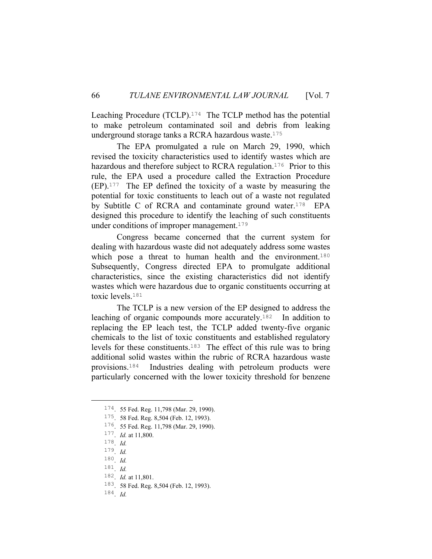Leaching Procedure (TCLP).174 The TCLP method has the potential to make petroleum contaminated soil and debris from leaking underground storage tanks a RCRA hazardous waste.<sup>175</sup>

 The EPA promulgated a rule on March 29, 1990, which revised the toxicity characteristics used to identify wastes which are hazardous and therefore subject to RCRA regulation.<sup>176</sup> Prior to this rule, the EPA used a procedure called the Extraction Procedure (EP).177 The EP defined the toxicity of a waste by measuring the potential for toxic constituents to leach out of a waste not regulated by Subtitle C of RCRA and contaminate ground water.<sup>178</sup> EPA designed this procedure to identify the leaching of such constituents under conditions of improper management. $179$ 

 Congress became concerned that the current system for dealing with hazardous waste did not adequately address some wastes which pose a threat to human health and the environment.<sup>180</sup> Subsequently, Congress directed EPA to promulgate additional characteristics, since the existing characteristics did not identify wastes which were hazardous due to organic constituents occurring at toxic levels.<sup>181</sup>

 The TCLP is a new version of the EP designed to address the leaching of organic compounds more accurately.182 In addition to replacing the EP leach test, the TCLP added twenty-five organic chemicals to the list of toxic constituents and established regulatory levels for these constituents.183 The effect of this rule was to bring additional solid wastes within the rubric of RCRA hazardous waste provisions.184 Industries dealing with petroleum products were particularly concerned with the lower toxicity threshold for benzene

 <sup>174</sup>. 55 Fed. Reg. 11,798 (Mar. 29, 1990).

<sup>175</sup>. 58 Fed. Reg. 8,504 (Feb. 12, 1993).

<sup>176</sup>. 55 Fed. Reg. 11,798 (Mar. 29, 1990).

<sup>177</sup>. *Id.* at 11,800.

<sup>178</sup>. *Id.*

<sup>179</sup>. *Id.*

<sup>180</sup>. *Id.*

<sup>181</sup>. *Id.*

<sup>182</sup>. *Id.* at 11,801.

<sup>183</sup>. 58 Fed. Reg. 8,504 (Feb. 12, 1993).

<sup>184</sup>. *Id.*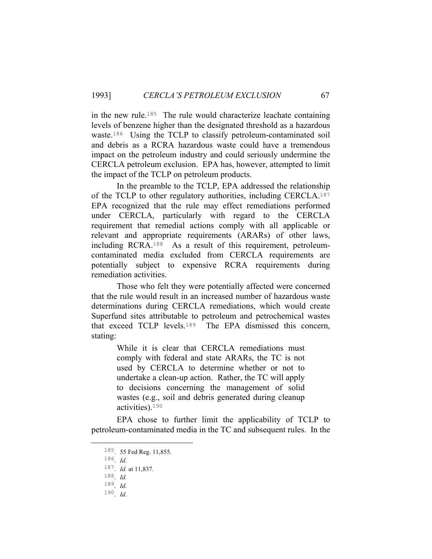in the new rule.185 The rule would characterize leachate containing levels of benzene higher than the designated threshold as a hazardous waste.186 Using the TCLP to classify petroleum-contaminated soil and debris as a RCRA hazardous waste could have a tremendous impact on the petroleum industry and could seriously undermine the CERCLA petroleum exclusion. EPA has, however, attempted to limit the impact of the TCLP on petroleum products.

 In the preamble to the TCLP, EPA addressed the relationship of the TCLP to other regulatory authorities, including CERCLA.<sup>187</sup> EPA recognized that the rule may effect remediations performed under CERCLA, particularly with regard to the CERCLA requirement that remedial actions comply with all applicable or relevant and appropriate requirements (ARARs) of other laws, including RCRA.188 As a result of this requirement, petroleumcontaminated media excluded from CERCLA requirements are potentially subject to expensive RCRA requirements during remediation activities.

 Those who felt they were potentially affected were concerned that the rule would result in an increased number of hazardous waste determinations during CERCLA remediations, which would create Superfund sites attributable to petroleum and petrochemical wastes that exceed TCLP levels.189 The EPA dismissed this concern, stating:

> While it is clear that CERCLA remediations must comply with federal and state ARARs, the TC is not used by CERCLA to determine whether or not to undertake a clean-up action. Rather, the TC will apply to decisions concerning the management of solid wastes (e.g., soil and debris generated during cleanup activities).<sup>190</sup>

 EPA chose to further limit the applicability of TCLP to petroleum-contaminated media in the TC and subsequent rules. In the

 <sup>185</sup>. 55 Fed Reg. 11,855.

<sup>186</sup>. *Id.*

<sup>187</sup>. *Id.* at 11,837.

<sup>188</sup>. *Id.*

<sup>189</sup>. *Id.*

<sup>190</sup>. *Id.*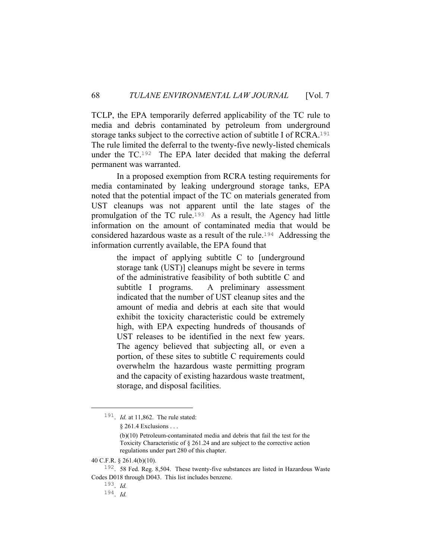TCLP, the EPA temporarily deferred applicability of the TC rule to media and debris contaminated by petroleum from underground storage tanks subject to the corrective action of subtitle I of RCRA.<sup>191</sup> The rule limited the deferral to the twenty-five newly-listed chemicals under the TC.192 The EPA later decided that making the deferral permanent was warranted.

 In a proposed exemption from RCRA testing requirements for media contaminated by leaking underground storage tanks, EPA noted that the potential impact of the TC on materials generated from UST cleanups was not apparent until the late stages of the promulgation of the TC rule.193 As a result, the Agency had little information on the amount of contaminated media that would be considered hazardous waste as a result of the rule.194 Addressing the information currently available, the EPA found that

> the impact of applying subtitle C to [underground storage tank (UST)] cleanups might be severe in terms of the administrative feasibility of both subtitle C and subtitle I programs. A preliminary assessment indicated that the number of UST cleanup sites and the amount of media and debris at each site that would exhibit the toxicity characteristic could be extremely high, with EPA expecting hundreds of thousands of UST releases to be identified in the next few years. The agency believed that subjecting all, or even a portion, of these sites to subtitle C requirements could overwhelm the hazardous waste permitting program and the capacity of existing hazardous waste treatment, storage, and disposal facilities.

193. *Id.*

194. *Id.*

 <sup>191</sup>. *Id.* at 11,862. The rule stated:

<sup>§ 261.4</sup> Exclusions . . .

<sup>(</sup>b)(10) Petroleum-contaminated media and debris that fail the test for the Toxicity Characteristic of § 261.24 and are subject to the corrective action regulations under part 280 of this chapter.

<sup>40</sup> C.F.R. § 261.4(b)(10).

<sup>192</sup>. 58 Fed. Reg. 8,504. These twenty-five substances are listed in Hazardous Waste Codes D018 through D043. This list includes benzene.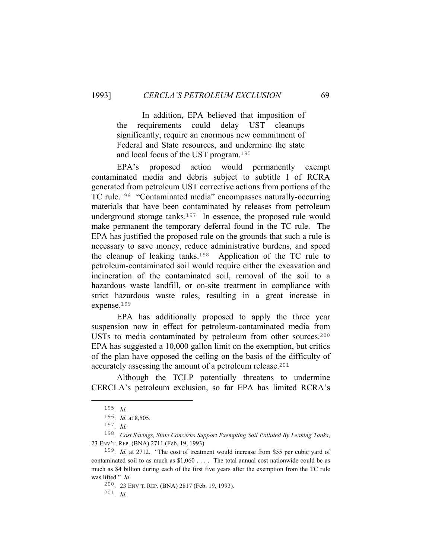In addition, EPA believed that imposition of the requirements could delay UST cleanups significantly, require an enormous new commitment of Federal and State resources, and undermine the state and local focus of the UST program.<sup>195</sup>

 EPA's proposed action would permanently exempt contaminated media and debris subject to subtitle I of RCRA generated from petroleum UST corrective actions from portions of the TC rule.196 "Contaminated media" encompasses naturally-occurring materials that have been contaminated by releases from petroleum underground storage tanks.<sup>197</sup> In essence, the proposed rule would make permanent the temporary deferral found in the TC rule. The EPA has justified the proposed rule on the grounds that such a rule is necessary to save money, reduce administrative burdens, and speed the cleanup of leaking tanks.198 Application of the TC rule to petroleum-contaminated soil would require either the excavation and incineration of the contaminated soil, removal of the soil to a hazardous waste landfill, or on-site treatment in compliance with strict hazardous waste rules, resulting in a great increase in expense.<sup>199</sup>

 EPA has additionally proposed to apply the three year suspension now in effect for petroleum-contaminated media from USTs to media contaminated by petroleum from other sources.<sup>200</sup> EPA has suggested a 10,000 gallon limit on the exemption, but critics of the plan have opposed the ceiling on the basis of the difficulty of accurately assessing the amount of a petroleum release.<sup>201</sup>

 Although the TCLP potentially threatens to undermine CERCLA's petroleum exclusion, so far EPA has limited RCRA's

200. 23 ENV'T. REP. (BNA) 2817 (Feb. 19, 1993).

 <sup>195</sup>. *Id.*

<sup>196</sup>. *Id.* at 8,505.

<sup>197</sup>. *Id.*

<sup>198</sup>. *Cost Savings, State Concerns Support Exempting Soil Polluted By Leaking Tanks*, 23 ENV'T. REP. (BNA) 2711 (Feb. 19, 1993).

<sup>199</sup>. *Id.* at 2712. "The cost of treatment would increase from \$55 per cubic yard of contaminated soil to as much as \$1,060 . . . . The total annual cost nationwide could be as much as \$4 billion during each of the first five years after the exemption from the TC rule was lifted." *Id.*

<sup>201</sup>. *Id.*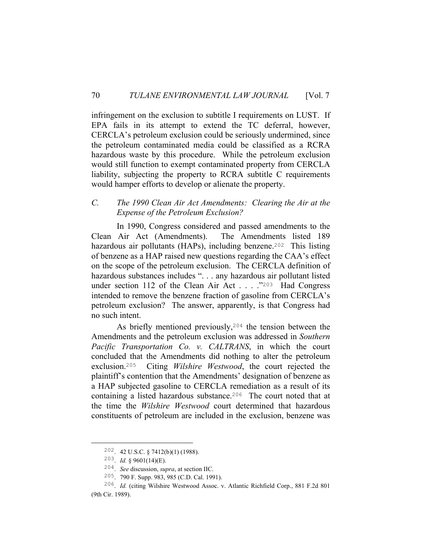infringement on the exclusion to subtitle I requirements on LUST. If EPA fails in its attempt to extend the TC deferral, however, CERCLA's petroleum exclusion could be seriously undermined, since the petroleum contaminated media could be classified as a RCRA hazardous waste by this procedure. While the petroleum exclusion would still function to exempt contaminated property from CERCLA liability, subjecting the property to RCRA subtitle C requirements would hamper efforts to develop or alienate the property.

## *C. The 1990 Clean Air Act Amendments: Clearing the Air at the Expense of the Petroleum Exclusion?*

 In 1990, Congress considered and passed amendments to the Clean Air Act (Amendments). The Amendments listed 189 hazardous air pollutants (HAPs), including benzene.<sup>202</sup> This listing of benzene as a HAP raised new questions regarding the CAA's effect on the scope of the petroleum exclusion. The CERCLA definition of hazardous substances includes ". . . any hazardous air pollutant listed under section 112 of the Clean Air Act . . . ."203 Had Congress intended to remove the benzene fraction of gasoline from CERCLA's petroleum exclusion? The answer, apparently, is that Congress had no such intent.

 As briefly mentioned previously,204 the tension between the Amendments and the petroleum exclusion was addressed in *Southern Pacific Transportation Co. v. CALTRANS*, in which the court concluded that the Amendments did nothing to alter the petroleum exclusion.205 Citing *Wilshire Westwood*, the court rejected the plaintiff's contention that the Amendments' designation of benzene as a HAP subjected gasoline to CERCLA remediation as a result of its containing a listed hazardous substance.206 The court noted that at the time the *Wilshire Westwood* court determined that hazardous constituents of petroleum are included in the exclusion, benzene was

 <sup>202</sup>. 42 U.S.C. § 7412(b)(1) (1988).

<sup>203</sup>. *Id.* § 9601(14)(E).

<sup>204</sup>. *See* discussion, *supra*, at section IIC.

<sup>205</sup>. 790 F. Supp. 983, 985 (C.D. Cal. 1991).

<sup>206</sup>. *Id.* (citing Wilshire Westwood Assoc. v. Atlantic Richfield Corp., 881 F.2d 801 (9th Cir. 1989).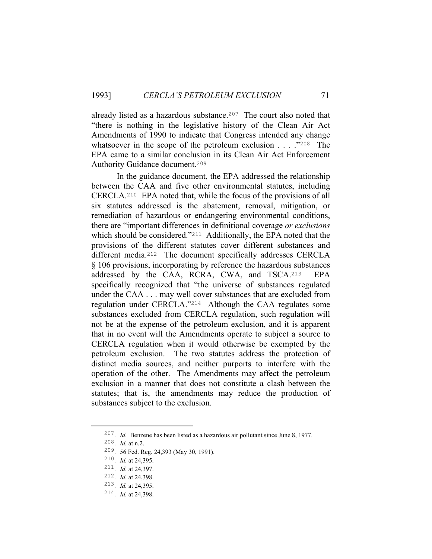already listed as a hazardous substance.207 The court also noted that "there is nothing in the legislative history of the Clean Air Act Amendments of 1990 to indicate that Congress intended any change whatsoever in the scope of the petroleum exclusion . . . . . "208 The EPA came to a similar conclusion in its Clean Air Act Enforcement Authority Guidance document.<sup>209</sup>

 In the guidance document, the EPA addressed the relationship between the CAA and five other environmental statutes, including CERCLA.210 EPA noted that, while the focus of the provisions of all six statutes addressed is the abatement, removal, mitigation, or remediation of hazardous or endangering environmental conditions, there are "important differences in definitional coverage *or exclusions* which should be considered."<sup>211</sup> Additionally, the EPA noted that the provisions of the different statutes cover different substances and different media.212 The document specifically addresses CERCLA § 106 provisions, incorporating by reference the hazardous substances addressed by the CAA, RCRA, CWA, and TSCA.213 EPA specifically recognized that "the universe of substances regulated under the CAA . . . may well cover substances that are excluded from regulation under CERCLA."214 Although the CAA regulates some substances excluded from CERCLA regulation, such regulation will not be at the expense of the petroleum exclusion, and it is apparent that in no event will the Amendments operate to subject a source to CERCLA regulation when it would otherwise be exempted by the petroleum exclusion. The two statutes address the protection of distinct media sources, and neither purports to interfere with the operation of the other. The Amendments may affect the petroleum exclusion in a manner that does not constitute a clash between the statutes; that is, the amendments may reduce the production of substances subject to the exclusion.

 <sup>207</sup>. *Id.* Benzene has been listed as a hazardous air pollutant since June 8, 1977.

<sup>208</sup>. *Id.* at n.2.

<sup>209</sup>. 56 Fed. Reg. 24,393 (May 30, 1991).

<sup>210</sup>. *Id.* at 24,395.

<sup>211</sup>. *Id.* at 24,397.

<sup>212</sup>. *Id.* at 24,398.

<sup>213</sup>. *Id.* at 24,395.

<sup>214</sup>. *Id.* at 24,398.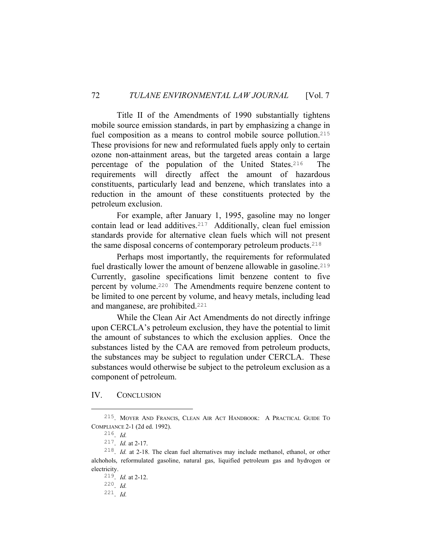Title II of the Amendments of 1990 substantially tightens mobile source emission standards, in part by emphasizing a change in fuel composition as a means to control mobile source pollution.<sup>215</sup> These provisions for new and reformulated fuels apply only to certain ozone non-attainment areas, but the targeted areas contain a large percentage of the population of the United States.216 The requirements will directly affect the amount of hazardous constituents, particularly lead and benzene, which translates into a reduction in the amount of these constituents protected by the petroleum exclusion.

 For example, after January 1, 1995, gasoline may no longer contain lead or lead additives.217 Additionally, clean fuel emission standards provide for alternative clean fuels which will not present the same disposal concerns of contemporary petroleum products.<sup>218</sup>

 Perhaps most importantly, the requirements for reformulated fuel drastically lower the amount of benzene allowable in gasoline.<sup>219</sup> Currently, gasoline specifications limit benzene content to five percent by volume.220 The Amendments require benzene content to be limited to one percent by volume, and heavy metals, including lead and manganese, are prohibited.<sup>221</sup>

 While the Clean Air Act Amendments do not directly infringe upon CERCLA's petroleum exclusion, they have the potential to limit the amount of substances to which the exclusion applies. Once the substances listed by the CAA are removed from petroleum products, the substances may be subject to regulation under CERCLA. These substances would otherwise be subject to the petroleum exclusion as a component of petroleum.

## IV. CONCLUSION

 <sup>215</sup>. MOYER AND FRANCIS, CLEAN AIR ACT HANDBOOK: A PRACTICAL GUIDE TO COMPLIANCE 2-1 (2d ed. 1992).

<sup>216</sup>. *Id.*

<sup>217</sup>. *Id.* at 2-17.

<sup>218</sup>. *Id.* at 2-18. The clean fuel alternatives may include methanol, ethanol, or other alchohols, reformulated gasoline, natural gas, liquified petroleum gas and hydrogen or electricity.

<sup>219</sup>. *Id.* at 2-12.

<sup>220</sup>. *Id.* 221. *Id.*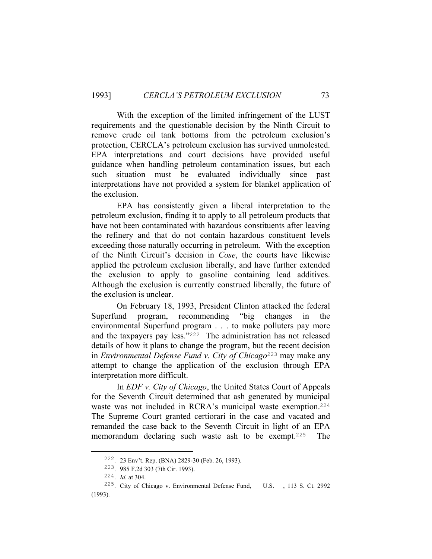With the exception of the limited infringement of the LUST requirements and the questionable decision by the Ninth Circuit to remove crude oil tank bottoms from the petroleum exclusion's protection, CERCLA's petroleum exclusion has survived unmolested. EPA interpretations and court decisions have provided useful guidance when handling petroleum contamination issues, but each such situation must be evaluated individually since past interpretations have not provided a system for blanket application of the exclusion.

 EPA has consistently given a liberal interpretation to the petroleum exclusion, finding it to apply to all petroleum products that have not been contaminated with hazardous constituents after leaving the refinery and that do not contain hazardous constituent levels exceeding those naturally occurring in petroleum. With the exception of the Ninth Circuit's decision in *Cose*, the courts have likewise applied the petroleum exclusion liberally, and have further extended the exclusion to apply to gasoline containing lead additives. Although the exclusion is currently construed liberally, the future of the exclusion is unclear.

 On February 18, 1993, President Clinton attacked the federal Superfund program, recommending "big changes in the environmental Superfund program . . . to make polluters pay more and the taxpayers pay less."222 The administration has not released details of how it plans to change the program, but the recent decision in *Environmental Defense Fund v. City of Chicago*223 may make any attempt to change the application of the exclusion through EPA interpretation more difficult.

 In *EDF v. City of Chicago*, the United States Court of Appeals for the Seventh Circuit determined that ash generated by municipal waste was not included in RCRA's municipal waste exemption.<sup>224</sup> The Supreme Court granted certiorari in the case and vacated and remanded the case back to the Seventh Circuit in light of an EPA memorandum declaring such waste ash to be exempt.225 The

 <sup>222</sup>. 23 Env't. Rep. (BNA) 2829-30 (Feb. 26, 1993).

<sup>223</sup>. 985 F.2d 303 (7th Cir. 1993).

<sup>224</sup>. *Id.* at 304.

<sup>&</sup>lt;sup>225</sup>. City of Chicago v. Environmental Defense Fund, \_\_ U.S. \_\_, 113 S. Ct. 2992 (1993).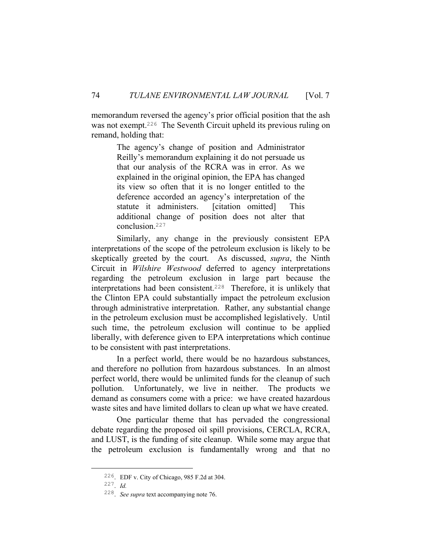memorandum reversed the agency's prior official position that the ash was not exempt.<sup>226</sup> The Seventh Circuit upheld its previous ruling on remand, holding that:

> The agency's change of position and Administrator Reilly's memorandum explaining it do not persuade us that our analysis of the RCRA was in error. As we explained in the original opinion, the EPA has changed its view so often that it is no longer entitled to the deference accorded an agency's interpretation of the statute it administers. [citation omitted] This additional change of position does not alter that conclusion.<sup>227</sup>

 Similarly, any change in the previously consistent EPA interpretations of the scope of the petroleum exclusion is likely to be skeptically greeted by the court. As discussed, *supra*, the Ninth Circuit in *Wilshire Westwood* deferred to agency interpretations regarding the petroleum exclusion in large part because the interpretations had been consistent.228 Therefore, it is unlikely that the Clinton EPA could substantially impact the petroleum exclusion through administrative interpretation. Rather, any substantial change in the petroleum exclusion must be accomplished legislatively. Until such time, the petroleum exclusion will continue to be applied liberally, with deference given to EPA interpretations which continue to be consistent with past interpretations.

 In a perfect world, there would be no hazardous substances, and therefore no pollution from hazardous substances. In an almost perfect world, there would be unlimited funds for the cleanup of such pollution. Unfortunately, we live in neither. The products we demand as consumers come with a price: we have created hazardous waste sites and have limited dollars to clean up what we have created.

 One particular theme that has pervaded the congressional debate regarding the proposed oil spill provisions, CERCLA, RCRA, and LUST, is the funding of site cleanup. While some may argue that the petroleum exclusion is fundamentally wrong and that no

 <sup>226</sup>. EDF v. City of Chicago, 985 F.2d at 304.

<sup>227</sup>. *Id.*

<sup>228</sup>. *See supra* text accompanying note 76.